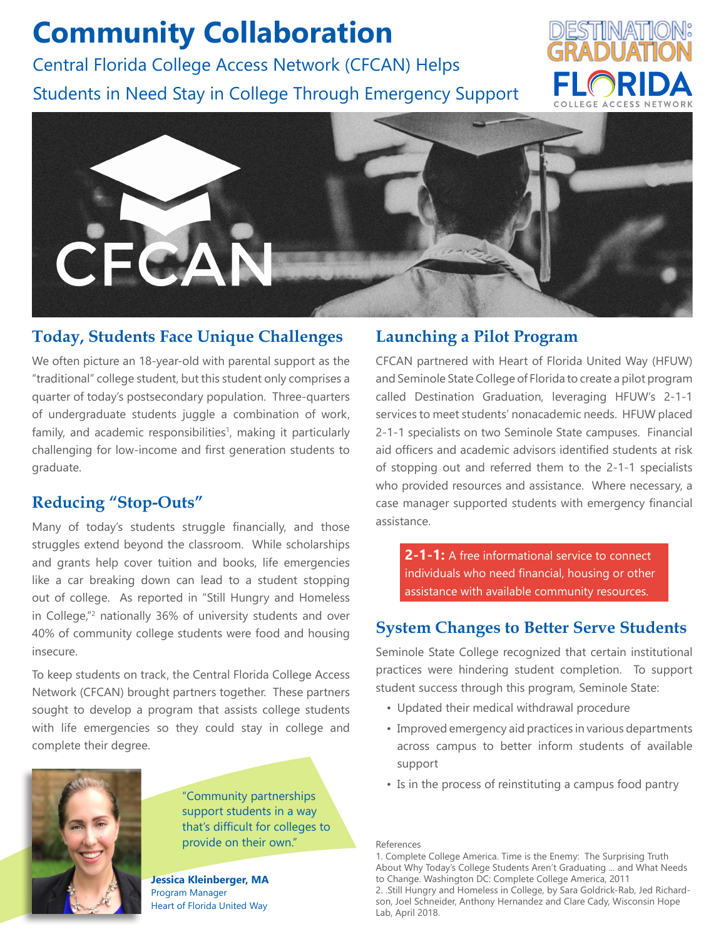# **Community Collaboration**

Central Florida College Access Network (CFCAN) Helps Students in Need Stay in College Through Emergency Support





# **Today, Students Face Unique Challenges**

We often picture an 18-year-old with parental support as the "traditional" college student, but this student only comprises a quarter of today's postsecondary population. Three-quarters of undergraduate students juggle a combination of work, family, and academic responsibilities<sup>1</sup>, making it particularly challenging for low-income and first generation students to graduate.

# **Reducing "Stop-Outs"**

Many of today's students struggle financially, and those struggles extend beyond the classroom. While scholarships and grants help cover tuition and books, life emergencies like a car breaking down can lead to a student stopping out of college. As reported in "Still Hungry and Homeless in College,"2 nationally 36% of university students and over 40% of community college students were food and housing insecure.

To keep students on track, the Central Florida College Access Network (CFCAN) brought partners together. These partners sought to develop a program that assists college students with life emergencies so they could stay in college and complete their degree.



"Community partnerships support students in a way that's difficult for colleges to provide on their own."

**Jessica Kleinberger, MA** Program Manager Heart of Florida United Way

#### **Launching a Pilot Program**

CFCAN partnered with Heart of Florida United Way (HFUW) and Seminole State College of Florida to create a pilot program called Destination Graduation, leveraging HFUW's 2-1-1 services to meet students' nonacademic needs. HFUW placed 2-1-1 specialists on two Seminole State campuses. Financial aid officers and academic advisors identified students at risk of stopping out and referred them to the 2-1-1 specialists who provided resources and assistance. Where necessary, a case manager supported students with emergency financial assistance.

**2-1-1:** A free informational service to connect individuals who need financial, housing or other assistance with available community resources.

### **System Changes to Better Serve Students**

Seminole State College recognized that certain institutional practices were hindering student completion. To support student success through this program, Seminole State:

- Updated their medical withdrawal procedure
- Improved emergency aid practices in various departments across campus to better inform students of available support
- Is in the process of reinstituting a campus food pantry

References

1. Complete College America. Time is the Enemy: The Surprising Truth About Why Today's College Students Aren't Graduating ... and What Needs to Change. Washington DC: Complete College America, 2011

2. .Still Hungry and Homeless in College, by Sara Goldrick-Rab, Jed Richardson, Joel Schneider, Anthony Hernandez and Clare Cady, Wisconsin Hope Lab, April 2018.